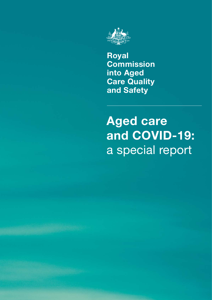

**Royal Commission into Aged Care Quality and Safety**

# **Aged care and COVID-19:**  a special report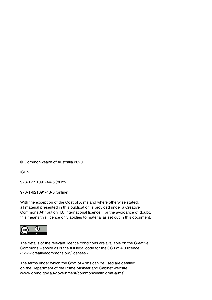© Commonwealth of Australia 2020

ISBN:

978-1-921091-44-5 (print)

978-1-921091-43-8 (online)

With the exception of the Coat of Arms and where otherwise stated, all material presented in this publication is provided under a Creative Commons Attribution 4.0 International licence. For the avoidance of doubt, this means this licence only applies to material as set out in this document.



The details of the relevant licence conditions are available on the Creative Commons website as is the full legal code for the CC BY 4.0 licence <www.creativecommons.org/licenses>.

The terms under which the Coat of Arms can be used are detailed on the Department of the Prime Minister and Cabinet website (www.dpmc.gov.au/government/commonwealth-coat-arms).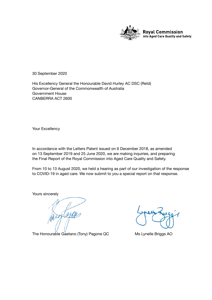

30 September 2020

His Excellency General the Honourable David Hurley AC DSC (Retd) Governor-General of the Commonwealth of Australia Government House CANBERRA ACT 2600

Your Excellency

In accordance with the Letters Patent issued on 6 December 2018, as amended on 13 September 2019 and 25 June 2020, we are making inquiries, and preparing the Final Report of the Royal Commission into Aged Care Quality and Safety.

From 10 to 13 August 2020, we held a hearing as part of our investigation of the response to COVID-19 in aged care. We now submit to you a special report on that response.

Yours sincerely

The Honourable Gaetano (Tony) Pagone QC Ms Lynelle Briggs AO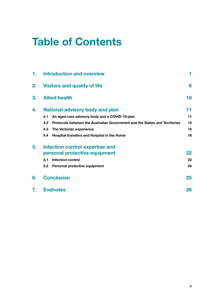## **Table of Contents**

| 1. | <b>Introduction and overview</b>                                                  |    |
|----|-----------------------------------------------------------------------------------|----|
| 2. | <b>Visitors and quality of life</b>                                               | 6  |
| 3. | <b>Allied health</b>                                                              | 10 |
| 4. | <b>National advisory body and plan</b>                                            | 11 |
|    | An aged care advisory body and a COVID-19 plan<br>4.1                             | 11 |
|    | Protocols between the Australian Government and the States and Territories<br>4.2 | 13 |
|    | 4.3<br>The Victorian experience                                                   | 15 |
|    | Hospital transfers and Hospital in the Home<br>4.4                                | 16 |
| 5. | <b>Infection control expertise and</b>                                            |    |
|    | personal protective equipment                                                     | 22 |
|    | <b>Infection control</b><br>5.1                                                   | 22 |
|    | 5.2<br>Personal protective equipment                                              | 24 |
| 6. | <b>Conclusion</b>                                                                 | 25 |
| 7. | <b>Endnotes</b>                                                                   | 26 |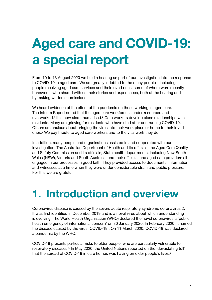# <span id="page-6-0"></span>**Aged care and COVID-19: a special report**

From 10 to 13 August 2020 we held a hearing as part of our investigation into the response to COVID-19 in aged care. We are greatly indebted to the many people—including people receiving aged care services and their loved ones, some of whom were recently bereaved—who shared with us their stories and experiences, both at the hearing and by making written submissions.

We heard evidence of the effect of the pandemic on those working in aged care. The Interim Report noted that the aged care workforce is under-resourced and overworked.<sup>1</sup> It is now also traumatised.<sup>2</sup> Care workers develop close relationships with residents. Many are grieving for residents who have died after contracting COVID-19. Others are anxious about bringing the virus into their work place or home to their loved ones.3 We pay tribute to aged care workers and to the vital work they do.

In addition, many people and organisations assisted in and cooperated with our investigation. The Australian Department of Health and its officials; the Aged Care Quality and Safety Commission and its officials; State health departments, including New South Wales (NSW), Victoria and South Australia, and their officials; and aged care providers all engaged in our processes in good faith. They provided access to documents, information and witnesses at a time when they were under considerable strain and public pressure. For this we are grateful.

## **1. Introduction and overview**

Coronavirus disease is caused by the severe acute respiratory syndrome coronavirus 2. It was first identified in December 2019 and is a novel virus about which understanding is evolving. The World Health Organization (WHO) declared the novel coronavirus a 'public health emergency of international concern' on 30 January 2020. In February 2020, it named the disease caused by the virus 'COVID-19'. On 11 March 2020, COVID-19 was declared a pandemic by the WHO.4

COVID-19 presents particular risks to older people, who are particularly vulnerable to respiratory diseases.<sup>5</sup> In May 2020, the United Nations reported on the 'devastating toll' that the spread of COVID-19 in care homes was having on older people's lives.<sup>6</sup>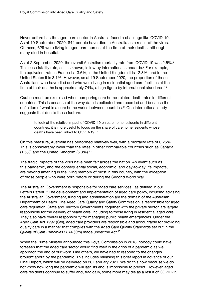Never before has the aged care sector in Australia faced a challenge like COVID-19. As at 19 September 2020, 844 people have died in Australia as a result of the virus. Of these, 629 were living in aged care homes at the time of their deaths, although many died in hospital.<sup>7</sup>

As at 2 September 2020, the overall Australian mortality rate from COVID-19 was 2.6%.<sup>8</sup> This case fatality rate, as it is known, is low by international standards.<sup>9</sup> For example, the equivalent rate in France is 13.6%; in the United Kingdom it is 12.8%; and in the United States it is 3.1%. However, as at 19 September 2020, the proportion of those Australians who have died and who were living in residential aged care facilities at the time of their deaths is approximately 74%, a high figure by international standards.<sup>10</sup>

Caution must be exercised when comparing care home-related death rates in different countries. This is because of the way data is collected and recorded and because the definition of what is a care home varies between countries.11 One international study suggests that due to these factors:

to look at the relative impact of COVID-19 on care home residents in different countries, it is more useful to focus on the share of care home residents whose deaths have been linked to COVID-19.12

On this measure, Australia has performed relatively well, with a mortality rate of 0.25%. This is considerably lower than the rates in other comparable countries such as Canada  $(1.5\%)$  and the United Kingdom  $(5.3\%)$ .<sup>13</sup>

The tragic impacts of the virus have been felt across the nation. An event such as this pandemic, and the consequential social, economic, and day-to-day life impacts, are beyond anything in the living memory of most in this country, with the exception of those people who were born before or during the Second World War.

The Australian Government is responsible for 'aged care services', as defined in our Letters Patent.14 The development and implementation of aged care policy, including advising the Australian Government, funding and administration are the domain of the Australian Department of Health. The Aged Care Quality and Safety Commission is responsible for aged care regulation. State and Territory Governments, together with the private sector, are largely responsible for the delivery of health care, including to those living in residential aged care. They also have overall responsibility for managing public health emergencies. Under the *Aged Care Act 1997* (Cth), aged care providers are responsible and accountable for providing quality care in a manner that complies with the Aged Care Quality Standards set out in the *Quality of Care Principles 2014* (Cth) made under the Act.15

When the Prime Minister announced this Royal Commission in 2018, nobody could have foreseen that the aged care sector would find itself in the grips of a pandemic as we approach the end of our work. Like others, we have had to respond to the changes brought about by the pandemic. This includes releasing this brief report in advance of our Final Report, which will be delivered on 26 February 2021. We do this now because we do not know how long the pandemic will last. Its end is impossible to predict. However, aged care residents continue to suffer and, tragically, some more may die as a result of COVID-19.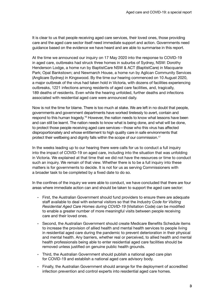It is clear to us that people receiving aged care services, their loved ones, those providing care and the aged care sector itself need immediate support and action. Governments need guidance based on the evidence we have heard and are able to summarise in this report.

At the time we announced our inquiry on 17 May 2020 into the response to COVID-19 in aged care, outbreaks had struck three homes in suburbs of Sydney, NSW: Dorothy Henderson Lodge, a home run by BaptistCare NSW & ACT (BaptistCare) in Macquarie Park; Opal Bankstown; and Newmarch House, a home run by Aglican Community Services (Anglicare Sydney) in Kingswood. By the time our hearing commenced on 10 August 2020, a major outbreak of the virus had taken hold in Victoria, with dozens of facilities experiencing outbreaks, 1221 infections among residents of aged care facilities, and, tragically, 189 deaths of residents. Even while the hearing unfolded, further deaths and infections associated with residential aged care were announced daily.

Now is not the time for blame. There is too much at stake. We are left in no doubt that people, governments and government departments have worked tirelessly to avert, contain and respond to this human tragedy.16 However, the nation needs to know what lessons have been and can still be learnt. The nation needs to know what is being done, and what will be done, to protect those people receiving aged care services—those who this virus has affected disproportionately and whose entitlement to high quality care in safe environments that protect their wellbeing and dignity falls within the scope of our commission.<sup>17</sup>

In the weeks leading up to our hearing there were calls for us to conduct a full inquiry into the impact of COVID-19 on aged care, including into the situation that was unfolding in Victoria. We explained at that time that we did not have the resources or time to conduct such an inquiry. We remain of that view. Whether there is to be a full inquiry into these matters is for governments to decide. It is not for us as serving Commissioners with a broader task to be completed by a fixed date to do so.

In the confines of the inquiry we were able to conduct, we have concluded that there are four areas where immediate action can and should be taken to support the aged care sector:

- First, the Australian Government should fund providers to ensure there are adequate staff available to deal with external visitors so that the *Industry Code for Visiting Residential Aged Care Homes during COVID-19* (Visitation Code) can be modified to enable a greater number of more meaningful visits between people receiving care and their loved ones.
- Second, the Australian Government should create Medicare Benefits Schedule items to increase the provision of allied health and mental health services to people living in residential aged care during the pandemic to prevent deterioration in their physical and mental health. Any barriers, whether real or perceived, to allied health and mental health professionals being able to enter residential aged care facilities should be removed unless justified on genuine public health grounds.
- Third, the Australian Government should publish a national aged care plan for COVID-19 and establish a national aged care advisory body.
- Finally, the Australian Government should arrange for the deployment of accredited infection prevention and control experts into residential aged care homes.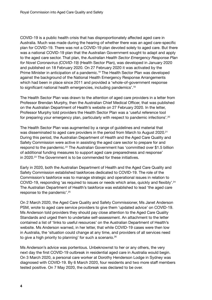COVID-19 is a public health crisis that has disproportionately affected aged care in Australia. Much was made during the hearing of whether there was an aged care-specific plan for COVID-19. There was not a COVID-19 plan devoted solely to aged care. But there was a national COVID-19 plan that the Australian Government sought to adapt and apply to the aged care sector. That plan, the *Australian Health Sector Emergency Response Plan for Novel Coronavirus (COVID-19)* (Health Sector Plan), was developed in January 2020 and published on 18 February 2020. On 27 February 2020 it was activated by the Prime Minister in anticipation of a pandemic.18 The Health Sector Plan was developed against the background of the National Health Emergency Response Arrangements which had been in place since 2011 and provided a 'whole-of-government response to significant national health emergencies, including pandemics'.<sup>19</sup>

The Health Sector Plan was drawn to the attention of aged care providers in a letter from Professor Brendan Murphy, then the Australian Chief Medical Officer, that was published on the Australian Department of Health's website on 27 February 2020. In the letter, Professor Murphy told providers the Health Sector Plan was a 'useful reference tool for preparing your emergency plan, particularly with respect to pandemic infections'.<sup>20</sup>

The Health Sector Plan was augmented by a range of guidelines and material that was disseminated to aged care providers in the period from March to August 2020.<sup>21</sup> During this period, the Australian Department of Health and the Aged Care Quality and Safety Commission were active in assisting the aged care sector to prepare for and respond to the pandemic.<sup>22</sup> The Australian Government has 'committed over \$1.5 billion of additional funding measures to support aged care preparedness and response' in 2020.23 The Government is to be commended for these initiatives.

Early in 2020, both the Australian Department of Health and the Aged Care Quality and Safety Commission established taskforces dedicated to COVID-19. The role of the Commission's taskforce was to manage strategic and operational issues in relation to COVID-19, responding 'as required to issues or needs which arise, quickly and flexibly'.<sup>24</sup> The Australian Department of Health's taskforce was established to lead 'the aged care response to the pandemic'.25

On 2 March 2020, the Aged Care Quality and Safety Commissioner, Ms Janet Anderson PSM, wrote to aged care service providers to give them 'updated advice' on COVID-19. Ms Anderson told providers they should pay close attention to the Aged Care Quality Standards and urged them to undertake self-assessment. An attachment to the letter contained a list of 'links to useful resources' on the Australian Department of Health's website. Ms Anderson warned, in her letter, that while COVID-19 cases were then low in Australia, the 'situation could change at any time, and providers of all services need to give a high priority to planning' for such a scenario.26

Ms Anderson's advice was portentous. Unbeknownst to her or any others, the very next day the first COVID-19 outbreak in residential aged care in Australia would begin. On 3 March 2020, a personal care worker at Dorothy Henderson Lodge in Sydney was diagnosed with COVID-19. By 6 March 2020, four residents and two more staff members tested positive. On 7 May 2020, the outbreak was declared to be over.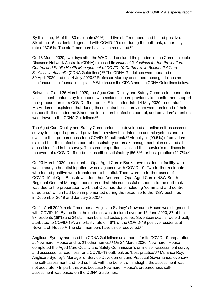By this time, 16 of the 80 residents (20%) and five staff members had tested positive. Six of the 16 residents diagnosed with COVID-19 died during the outbreak, a mortality rate of 37.5%. The staff members have since recovered.<sup>27</sup>

On 13 March 2020, two days after the WHO had declared the pandemic, the Communicable Diseases Network Australia (CDNA) released its *National Guidelines for the Prevention, Control and Public Health Management of COVID-19 Outbreaks in Residential Care Facilities in Australia* (CDNA Guidelines).28 The CDNA Guidelines were updated on 30 April 2020 and on 14 July 2020.29 Professor Murphy described these guidelines as 'the fundamental foundational plan'.30 We discuss the CDNA and the CDNA Guidelines below.

Between 17 and 26 March 2020, the Aged Care Quality and Safety Commission conducted 'assessment contacts by telephone' with residential care providers to 'monitor and support their preparation for a COVID-19 outbreak'.31 In a letter dated 4 May 2020 to our staff, Ms Anderson explained that during these contact calls, providers were reminded of their responsibilities under the Standards in relation to infection control, and providers' attention was drawn to the CDNA Guidelines.<sup>32</sup>

The Aged Care Quality and Safety Commission also developed an online self-assessment survey to 'support approved providers' to review their infection control systems and to evaluate their preparedness for a COVID-19 outbreak.<sup>33</sup> Virtually all (99.5%) of providers claimed that their infection control / respiratory outbreak management plan covered all areas identified in the survey. The same proportion assessed their service's readiness in the event of a COVID-19 outbreak as either satisfactory (56.8%) or best practice (42.7%).<sup>34</sup>

On 23 March 2020, a resident at Opal Aged Care's Bankstown residential facility who was already a hospital inpatient was diagnosed with COVID-19. Two further residents who tested positive were transferred to hospital. There were no further cases of COVID-19 at Opal Bankstown. Jonathan Anderson, Opal Aged Care's NSW South Regional General Manager, considered that this successful response to the outbreak was due to the preparation work that Opal had done including 'command and control structures' which had been implemented during the response to the NSW bushfires in December 2019 and January 2020.<sup>35</sup>

On 11 April 2020, a staff member at Anglicare Sydney's Newmarch House was diagnosed with COVID-19. By the time the outbreak was declared over on 15 June 2020, 37 of the 97 residents (38%) and 34 staff members had tested positive. Seventeen deaths 'were directly attributed to COVID-19', a mortality rate of 46% of the COVID-19 positive residents at Newmarch House.<sup>36</sup> The staff members have since recovered.<sup>37</sup>

Anglicare Sydney had used the CDNA Guidelines as a model for its COVID-19 preparation at Newmarch House and its 21 other homes.<sup>38</sup> On 24 March 2020, Newmarch House completed the Aged Care Quality and Safety Commission's online self-assessment survey and assessed its readiness for a COVID-19 outbreak as 'best practice'.39 Ms Erica Roy, Anglicare Sydney's Manager of Service Development and Practical Governance, oversaw the self-assessment and told us that, with the benefit of hindsight, the assessment was not accurate.40 In part, this was because Newmarch House's preparedness selfassessment was based on the CDNA Guidelines.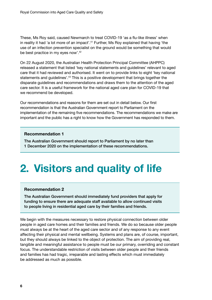<span id="page-11-0"></span>These, Ms Roy said, caused Newmarch to treat COVID-19 'as a flu-like illness' when in reality it had 'a lot more of an impact'.<sup>41</sup> Further, Ms Roy explained that having 'the use of an infection prevention specialist on the ground would be something that would be best practice in my eyes now'.42

On 22 August 2020, the Australian Health Protection Principal Committee (AHPPC) released a statement that listed 'key national statements and guidelines' relevant to aged care that it had reviewed and authorised. It went on to provide links to eight 'key national statements and quidelines'.<sup>43</sup> This is a positive development that brings together the disparate guidelines and recommendations and draws them to the attention of the aged care sector. It is a useful framework for the national aged care plan for COVID-19 that we recommend be developed.

Our recommendations and reasons for them are set out in detail below. Our first recommendation is that the Australian Government report to Parliament on the implementation of the remaining five recommendations. The recommendations we make are important and the public has a right to know how the Government has responded to them.

#### **Recommendation 1**

The Australian Government should report to Parliament by no later than 1 December 2020 on the implementation of these recommendations.

## **2. Visitors and quality of life**

#### **Recommendation 2**

The Australian Government should immediately fund providers that apply for funding to ensure there are adequate staff available to allow continued visits to people living in residential aged care by their families and friends.

We begin with the measures necessary to restore physical connection between older people in aged care homes and their families and friends. We do so because older people must always be at the heart of the aged care sector and of any response to any event affecting their physical and mental wellbeing. Systems and plans are, of course, important, but they should always be linked to the object of protection. The aim of providing real, tangible and meaningful assistance to people must be our primary, overriding and constant focus. The understandable restriction of visits between older people and their friends and families has had tragic, irreparable and lasting effects which must immediately be addressed as much as possible.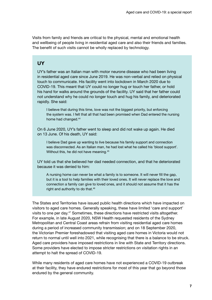Visits from family and friends are critical to the physical, mental and emotional health and wellbeing of people living in residential aged care and also their friends and families. The benefit of such visits cannot be wholly replaced by technology.

### **UY**

UY's father was an Italian man with motor neurone disease who had been living in residential aged care since June 2019. He was non-verbal and relied on physical touch to communicate. His facility went into lockdown in March 2020 due to COVID-19. This meant that UY could no longer hug or touch her father, or hold his hand for walks around the grounds of the facility. UY said that her father could not understand why he could no longer touch and hug his family, and deteriorated rapidly. She said:

I believe that during this time, love was not the biggest priority, but enforcing the system was. I felt that all that had been promised when Dad entered the nursing home had changed.<sup>44</sup>

On 6 June 2020, UY's father went to sleep and did not wake up again. He died on 13 June. Of his death, UY said:

I believe Dad gave up wanting to live because his family support and connection was disconnected. As an Italian man, he had lost what he called his 'blood support'. Without this, he did not have meaning.<sup>45</sup>

UY told us that she believed her dad needed connection, and that he deteriorated because it was denied to him:

A nursing home can never be what a family is to someone. It will never fill the gap, but it is a tool to help families with their loved ones. It will never replace the love and connection a family can give to loved ones, and it should not assume that it has the right and authority to do that.<sup>46</sup>

The States and Territories have issued public health directions which have impacted on visitors to aged care homes. Generally speaking, these have limited 'care and support' visits to one per day.47 Sometimes, these directions have restricted visits altogether. For example, in late August 2020, NSW Health requested residents of the Sydney Metropolitan and Central Coast areas refrain from visiting residential aged care homes during a period of increased community transmission; and on 18 September 2020, the Victorian Premier foreshadowed that visiting aged care homes in Victoria would not return to normal until well into 2021, while recognising that there is a balance to be struck. Aged care providers have imposed restrictions in line with State and Territory directions. Some providers have elected to impose stricter restrictions on visitation rights in an attempt to halt the spread of COVID-19.

While many residents of aged care homes have not experienced a COVID-19 outbreak at their facility, they have endured restrictions for most of this year that go beyond those endured by the general community.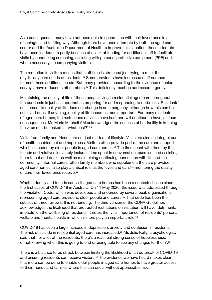As a consequence, many have not been able to spend time with their loved ones in a meaningful and fulfilling way. Although there have been attempts by both the aged care sector and the Australian Department of Health to improve this situation, those attempts have been inadequate partly because of a lack of funding for additional staff to facilitate visits by conducting screening, assisting with personal protective equipment (PPE) and, where necessary, accompanying visitors.

The reduction in visitors means that staff time is stretched just trying to meet the day-to-day care needs of residents.<sup>48</sup> Some providers have increased staff numbers to meet these additional needs. But many providers, according to the evidence of union surveys, have reduced staff numbers.<sup>49</sup> This deficiency must be addressed urgently.

Maintaining the quality of life of those people living in residential aged care throughout the pandemic is just as important as preparing for and responding to outbreaks. Residents' entitlement to quality of life does not change in an emergency, although how this can be achieved does. If anything, quality of life becomes more important. For many residents of aged care homes, the restrictions on visits have had, and will continue to have, serious consequences. Ms Merle Mitchell AM acknowledged the success of her facility in keeping the virus out, but asked 'at what cost?'.50

Visits from family and friends are not just matters of lifestyle. Visits are also an integral part of health, enablement and happiness. Visitors often provide part of the care and support which is needed by older people in aged care homes.<sup>51</sup> The time spent with them by their friends and relatives inevitably includes time spent in conversation, exercise, and assisting them to eat and drink, as well as maintaining continuing connection with life and the community. Informal carers, often family members who supplement the care provided in aged care homes, also play a critical role as the 'eyes and ears'—monitoring the quality of care their loved ones receive.<sup>52</sup>

Whether family and friends can visit aged care homes has been a contested issue since the first cases of COVID-19 in Australia. On 11 May 2020, the issue was addressed through the Visitation Code, which was developed and endorsed by several peak organisations representing aged care providers, older people and carers.53 That code has been the subject of three reviews. It is not binding. The third version of the CDNA Guidelines acknowledges the likelihood that protracted restrictions on visitation will have 'detrimental impacts' on the wellbeing of residents. It notes the 'vital importance' of residents' personal welfare and mental health, in which visitors play an important role.<sup>54</sup>

COVID-19 has seen a large increase in depression, anxiety and confusion in residents. The risk of suicide in residential aged care has increased.<sup>55</sup> Ms Julie Kelly, a psychologist, said that 'for a lot of the residents, there's a real, real strong sense of hopelessness, of not knowing when this is going to end or being able to see any changes for them'.56

There is a balance to be struck between limiting the likelihood of an outbreak of COVID-19 and ensuring residents can receive visitors.<sup>57</sup> The evidence we have heard makes clear that more can be done to enable older people in aged care homes to have greater access to their friends and families where this can occur without appreciable risk.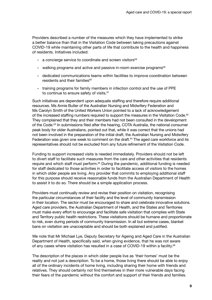Providers described a number of the measures which they have implemented to strike a better balance than that in the Visitation Code between taking precautions against COVID-19 while maintaining other parts of life that contribute to the health and happiness of residents. Initiatives included:

- $\cdot$  a concierge service to coordinate and screen visitors $58$
- walking programs and active and passive in-room exercise programs<sup>59</sup>
- dedicated communications teams within facilities to improve coordination between residents and their families $60$
- training programs for family members in infection control and the use of PPE to continue to ensure safety of visits.<sup>61</sup>

Such initiatives are dependent upon adequate staffing and therefore require additional resources. Ms Annie Butler of the Australian Nursing and Midwifery Federation and Ms Carolyn Smith of the United Workers Union pointed to a lack of acknowledgement of the increased staffing numbers required to support the measures in the Visitation Code.<sup>62</sup> They complained that they and their members had not been consulted in the development of the Code.63 In submissions filed after the hearing, COTA Australia, the national consumer peak body for older Australians, pointed out that, while it was correct that the unions had not been involved in the preparation of the initial draft, the Australian Nursing and Midwifery Federation was given one week to comment on the draft.<sup>64</sup> The aged care workforce and its representatives should not be excluded from any future refinement of the Visitation Code.

Funding to support increased visits is needed immediately. Providers should not be left to divert staff to facilitate such measures from the care and other activities that residents require and which staff must perform.<sup>65</sup> During the pandemic, additional funding is needed for staff dedicated to those activities in order to facilitate access of visitors to the homes in which older people are living. Any provider that commits to employing additional staff for this purpose should receive reasonable funds from the Australian Department of Health to assist it to do so. There should be a simple application process.

Providers must continually review and revise their position on visitation, recognising the particular circumstances of their facility and the level of community transmission in their location. The sector must be encouraged to share and celebrate innovative solutions. Aged care providers, the Australian Department of Health, and the States and Territories must make every effort to encourage and facilitate safe visitation that complies with State and Territory public health restrictions. These visitations should be humane and proportionate to risk, even during periods of community transmission. In all but extreme cases, blanket bans on visitation are unacceptable and should be both explained and justified.

We note that Mr Michael Lye, Deputy Secretary for Ageing and Aged Care in the Australian Department of Health, specifically said, when giving evidence, that he was not aware of any cases where visitation has resulted in a case of COVID-19 within a facility.<sup>66</sup>

The description of the places in which older people live as 'their homes' must be the reality and not just a description. To be a home, those living there should be able to enjoy all of the ordinary incidents of home living, including sharing their home with friends and relatives. They should certainly not find themselves in their more vulnerable days facing their fears of the pandemic without the comfort and support of their friends and families.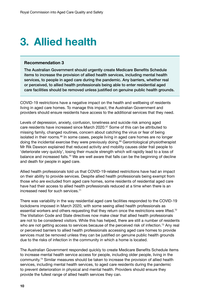## <span id="page-15-0"></span>**3. Allied health**

#### **Recommendation 3**

The Australian Government should urgently create Medicare Benefits Schedule items to increase the provision of allied health services, including mental health services, to people in aged care during the pandemic. Any barriers, whether real or perceived, to allied health professionals being able to enter residential aged care facilities should be removed unless justified on genuine public health grounds.

COVID-19 restrictions have a negative impact on the health and wellbeing of residents living in aged care homes. To manage this impact, the Australian Government and providers should ensure residents have access to the additional services that they need.

Levels of depression, anxiety, confusion, loneliness and suicide risk among aged care residents have increased since March 2020.67 Some of this can be attributed to missing family, changed routines, concern about catching the virus or fear of being isolated in their rooms.<sup>68</sup> In some cases, people living in aged care homes are no longer doing the incidental exercise they were previously doing.<sup>69</sup> Gerontological physiotherapist Mr Rik Dawson explained that reduced activity and mobility causes older frail people to 'deteriorate very quickly', losing their muscle strength which will rapidly lead to a loss of balance and increased falls.<sup>70</sup> We are well aware that falls can be the beginning of decline and death for people in aged care.

Allied health professionals told us that COVID-19-related restrictions have had an impact on their ability to provide services. Despite allied health professionals being exempt from those who are excluded from aged care homes, some residents of residential aged care have had their access to allied health professionals reduced at a time when there is an increased need for such services.71

There was variability in the way residential aged care facilities responded to the COVID-19 lockdowns imposed in March 2020, with some seeing allied health professionals as essential workers and others requesting that they return once the restrictions were lifted. $72$ The Visitation Code and State directives now make clear that allied health professionals are not to be considered visitors. While this has helped, there are still a number of residents who are not getting access to services because of the perceived risk of infection.<sup>73</sup> Any real or perceived barriers to allied health professionals accessing aged care homes to provide services must be removed unless they can be justified on genuine public health grounds due to the risks of infection in the community in which a home is located.

The Australian Government responded quickly to create Medicare Benefits Schedule items to increase mental health service access for people, including older people, living in the community.74 Similar measures should be taken to increase the provision of allied health services, including mental health services, to aged care residents during the pandemic to prevent deterioration in physical and mental health. Providers should ensure they provide the fullest range of allied health services they can.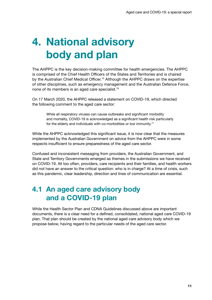## <span id="page-16-0"></span>**4. National advisory body and plan**

The AHPPC is the key decision-making committee for health emergencies. The AHPPC is comprised of the Chief Health Officers of the States and Territories and is chaired by the Australian Chief Medical Officer.<sup>75</sup> Although the AHPPC draws on the expertise of other disciplines, such as emergency management and the Australian Defence Force, none of its members is an aged care specialist.<sup>76</sup>

On 17 March 2020, the AHPPC released a statement on COVID-19, which directed the following comment to the aged care sector:

While all respiratory viruses can cause outbreaks and significant morbidity and mortality, COVID-19 is acknowledged as a significant health risk particularly for the elderly and individuals with co-morbidities or low immunity.<sup>77</sup>

While the AHPPC acknowledged this significant issue, it is now clear that the measures implemented by the Australian Government on advice from the AHPPC were in some respects insufficient to ensure preparedness of the aged care sector.

Confused and inconsistent messaging from providers, the Australian Government, and State and Territory Governments emerged as themes in the submissions we have received on COVID-19. All too often, providers, care recipients and their families, and health workers did not have an answer to the critical question: who is in charge? At a time of crisis, such as this pandemic, clear leadership, direction and lines of communication are essential.

### **4.1 An aged care advisory body and a COVID-19 plan**

While the Health Sector Plan and CDNA Guidelines discussed above are important documents, there is a clear need for a defined, consolidated, national aged care COVID-19 plan. That plan should be created by the national aged care advisory body which we propose below, having regard to the particular needs of the aged care sector.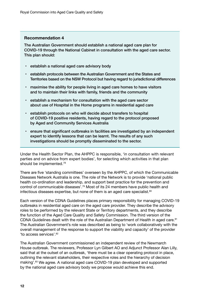#### **Recommendation 4**

The Australian Government should establish a national aged care plan for COVID-19 through the National Cabinet in consultation with the aged care sector. This plan should:

- establish a national aged care advisory body
- establish protocols between the Australian Government and the States and Territories based on the NSW Protocol but having regard to jurisdictional differences
- maximise the ability for people living in aged care homes to have visitors and to maintain their links with family, friends and the community
- establish a mechanism for consultation with the aged care sector about use of Hospital in the Home programs in residential aged care
- establish protocols on who will decide about transfers to hospital of COVID-19 positive residents, having regard to the protocol proposed by Aged and Community Services Australia
- ensure that significant outbreaks in facilities are investigated by an independent expert to identify lessons that can be learnt. The results of any such investigations should be promptly disseminated to the sector.

Under the Health Sector Plan, the AHPPC is responsible, 'in consultation with relevant parties and on advice from expert bodies', for selecting which activities in that plan should be implemented.<sup>78</sup>

There are five 'standing committees' overseen by the AHPPC, of which the Communicable Diseases Network Australia is one. The role of the Network is to provide 'national public health co-ordination and leadership, and support best practice for the prevention and control of communicable diseases'.79 Most of its 24 members have public health and infectious diseases expertise, but none of them is an aged care specialist.<sup>80</sup>

Each version of the CDNA Guidelines places primary responsibility for managing COVID-19 outbreaks in residential aged care on the aged care provider. They describe the advisory roles to be performed by the relevant State or Territory departments, and they describe the function of the Aged Care Quality and Safety Commission. The third version of the CDNA Guidelines dealt with the role of the Australian Department of Health in aged care.<sup>81</sup> The Australian Government's role was described as being to 'work collaboratively with the overall management of the response to support the viability and capacity' of the provider 'to access services'.82

The Australian Government commissioned an independent review of the Newmarch House outbreak. The reviewers, Professor Lyn Gilbert AO and Adjunct Professor Alan Lilly, said that at the outset of an outbreak, 'there must be a clear operating protocol in place, outlining the relevant stakeholders, their respective roles and the hierarchy of decision making'.83 We agree. A national aged care COVID-19 plan developed and supported by the national aged care advisory body we propose would achieve this end.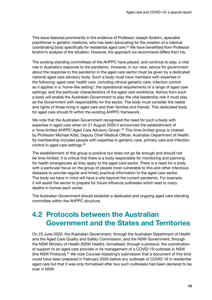<span id="page-18-0"></span>This issue featured prominently in the evidence of Professor Joseph Ibrahim, specialist practitioner in geriatric medicine, who has been advocating for the creation of a national coordinating body specifically for residential aged care.<sup>84</sup> We have benefitted from Professor Ibrahim's analysis of the situation. However, the approach we recommend differs from his.

The existing standing committees of the AHPPC have played, and continue to play, a vital role in Australia's response to the pandemic. However, in our view, advice for government about the response to the pandemic in the aged care sector must be given by a dedicated national aged care advisory body. Such a body must have members with expertise in the following: aged care; health care, including clinical geriatric care; infection control as it applies in a 'home-like setting'; the operational requirements of a range of aged care settings; and the particular characteristics of the aged care workforce. Advice from such a body will enable the Australian Government to play the vital leadership role it must play as the Government with responsibility for the sector. The body must consider the needs and rights of those living in aged care and their families and friends. This dedicated body for aged care should fit within the existing AHPPC framework.

We note that the Australian Government recognised the need for such a body with expertise in aged care when on 21 August 2020 it announced the establishment of a 'time-limited AHPPC Aged Care Advisory Group'.<sup>85</sup> This time-limited group is chaired by Professor Michael Kidd, Deputy Chief Medical Officer, Australian Department of Health. Its membership includes people with expertise in geriatric care, primary care and infection control in aged care settings.<sup>86</sup>

The establishment of this group is positive but does not go far enough and should not be time-limited. It is critical that there is a body responsible for monitoring and planning for health emergencies as they apply to the aged care sector. There is a need for a body with a particular focus on the group of people most vulnerable to this and other infectious diseases to provide regular and timely practical information to the aged care sector. The body we have in mind will have a role beyond the current pandemic. For example, it will assist the sector to prepare for future influenza outbreaks which lead to many deaths in homes each winter.

The Australian Government should establish a dedicated and ongoing aged care standing committee within the AHPPC structure.

### **4.2 Protocols between the Australian Government and the States and Territories**

On 23 June 2020, the Australian Government, through the Australian Department of Health and the Aged Care Quality and Safety Commission, and the NSW Government, through the NSW Ministry of Health (NSW Health), formalised, through a protocol, the coordination of support to an aged care provider in its management of a COVID-19 outbreak in NSW (the NSW Protocol). $87$  We note Counsel Assisting's submission that a document of this kind could have been prepared in February 2020 before any outbreak of COVID-19 in residential aged care but that it was only formalised after two such outbreaks had been declared to be over in NSW.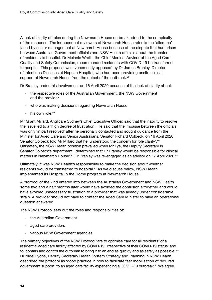A lack of clarity of roles during the Newmarch House outbreak added to the complexity of the response. The independent reviewers of Newmarch House refer to the 'dilemma' faced by senior management at Newmarch House because of the dispute that had arisen between Australian Government officials and NSW Health officials about the transfer of residents to hospital. Dr Melanie Wroth, the Chief Medical Advisor of the Aged Care Quality and Safety Commission, recommended residents with COVID-19 be transferred to hospital. This proposal was 'vehemently opposed' by Dr James Branley, Director of Infectious Diseases at Nepean Hospital, who had been providing onsite clinical support at Newmarch House from the outset of the outbreak.<sup>88</sup>

Dr Branley ended his involvement on 16 April 2020 because of the lack of clarity about:

- the respective roles of the Australian Government, the NSW Government and the provider
- who was making decisions regarding Newmarch House
- $\cdot$  his own role.<sup>89</sup>

Mr Grant Millard, Anglicare Sydney's Chief Executive Officer, said that the inability to resolve the issue led to a 'high degree of frustration'. He said that the impasse between the officials was only 'in part resolved' after he personally contacted and sought guidance from the Minister for Aged Care and Senior Australians, Senator Richard Colbeck, on 16 April 2020. Senator Colbeck told Mr Millard that he 'understood the concern for role clarity'.<sup>90</sup> Ultimately, the NSW Health position prevailed when Mr Lye, the Deputy Secretary in Senator Colbeck's department, 'determined that Dr Branley would be responsible for clinical matters in Newmarch House'.<sup>91</sup> Dr Branley was re-engaged as an advisor on 17 April 2020.<sup>92</sup>

Ultimately, it was NSW Health's responsibility to make the decision about whether residents would be transferred to hospital.<sup>93</sup> As we discuss below, NSW Health implemented its Hospital in the Home program at Newmarch House.

A protocol of the kind entered into between the Australian Government and NSW Health some two and a half months later would have avoided the confusion altogether and would have avoided unnecessary frustration to a provider that was already under considerable strain. A provider should not have to contact the Aged Care Minister to have an operational question answered.

The NSW Protocol sets out the roles and responsibilities of:

- the Australian Government
- aged care providers
- various NSW Government agencies.

The primary objectives of the NSW Protocol 'are to optimise care for all residents' of a residential aged care facility affected by COVID-19 'irrespective of their COVID-19 status' and to 'contain and control the outbreak to bring it to an end as quickly and as safely as possible'.<sup>94</sup> Dr Nigel Lyons, Deputy Secretary Health System Strategy and Planning in NSW Health, described the protocol as 'good practice in how to facilitate fast mobilisation of required government support' to an aged care facility experiencing a COVID-19 outbreak.<sup>95</sup> We agree.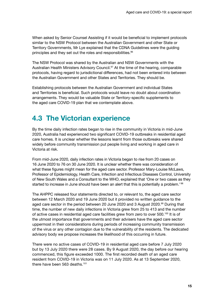<span id="page-20-0"></span>When asked by Senior Counsel Assisting if it would be beneficial to implement protocols similar to the NSW Protocol between the Australian Government and other State or Territory Governments, Mr Lye explained that the CDNA Guidelines were the guiding principles and they set out the roles and responsibilities.96

The NSW Protocol was shared by the Australian and NSW Governments with the Australian Health Ministers Advisory Council.<sup>97</sup> At the time of the hearing, comparable protocols, having regard to jurisdictional differences, had not been entered into between the Australian Government and other States and Territories. They should be.

Establishing protocols between the Australian Government and individual States and Territories is beneficial. Such protocols would leave no doubt about coordination arrangements. They would be valuable State or Territory-specific supplements to the aged care COVID-19 plan that we contemplate above.

### **4.3 The Victorian experience**

By the time daily infection rates began to rise in the community in Victoria in mid-June 2020, Australia had experienced two significant COVID-19 outbreaks in residential aged care homes. It is unclear whether the lessons learnt from those outbreaks were shared widely before community transmission put people living and working in aged care in Victoria at risk.

From mid-June 2020, daily infection rates in Victoria began to rise from 20 cases on 16 June 2020 to 76 on 30 June 2020. It is unclear whether there was consideration of what these figures might mean for the aged care sector. Professor Mary-Louise McLaws, Professor of Epidemiology, Health Care, Infection and Infectious Diseases Control, University of New South Wales and a Consultant to the WHO, explained that 'One or two cases as they started to increase in June should have been an alert that this is potentially a problem.<sup>198</sup>

The AHPPC released four statements directed to, or relevant to, the aged care sector between 12 March 2020 and 19 June 2020 but it provided no written guidance to the aged care sector in the period between 20 June 2020 and 3 August 2020.<sup>99</sup> During that time, the number of new daily infections in Victoria grew from 25 to 413 and the number of active cases in residential aged care facilities grew from zero to over 500.<sup>100</sup> It is of the utmost importance that governments and their advisers have the aged care sector uppermost in their considerations during periods of increasing community transmission of the virus or any other contagion due to the vulnerability of the residents. The dedicated advisory body we propose increases the likelihood of this occurring in future.

There were no active cases of COVID-19 in residential aged care before 7 July 2020 but by 13 July 2020 there were 28 cases. By 9 August 2020, the day before our hearing commenced, this figure exceeded 1000. The first recorded death of an aged care resident from COVID-19 in Victoria was on 11 July 2020. As at 13 September 2020, there have been 563 deaths.<sup>101</sup>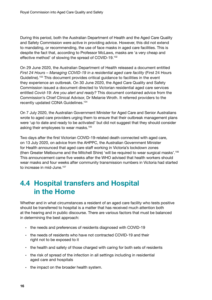<span id="page-21-0"></span>During this period, both the Australian Department of Health and the Aged Care Quality and Safety Commission were active in providing advice. However, this did not extend to mandating, or recommending, the use of face masks in aged care facilities. This is despite the fact that, according to Professor McLaws, masks are 'a very cheap and effective method' of slowing the spread of COVID-19.<sup>102</sup>

On 29 June 2020, the Australian Department of Health released a document entitled *First 24 Hours – Managing COVID-19 in a residential aged care facility* (First 24 Hours Guideline).103 This document provides critical guidance to facilities in the event they experience an outbreak. On 30 June 2020, the Aged Care Quality and Safety Commission issued a document directed to Victorian residential aged care services entitled *Covid-19: Are you alert and ready?* This document contained advice from the Commission's Chief Clinical Advisor, Dr Melanie Wroth. It referred providers to the recently updated CDNA Guidelines.104

On 7 July 2020, the Australian Government Minister for Aged Care and Senior Australians wrote to aged care providers urging them to ensure that their outbreak management plans were 'up to date and ready to be activated' but did not suggest that they should consider asking their employees to wear masks.105

Two days after the first Victorian COVID-19-related death connected with aged care, on 13 July 2020, on advice from the AHPPC, the Australian Government Minister for Health announced that aged care staff working in Victoria's lockdown zones (then Greater Melbourne and the Mitchell Shire) 'will be required to wear surgical masks'.106 This announcement came five weeks after the WHO advised that health workers should wear masks and four weeks after community transmission numbers in Victoria had started to increase in mid-June.<sup>107</sup>

### **4.4 Hospital transfers and Hospital in the Home**

Whether and in what circumstances a resident of an aged care facility who tests positive should be transferred to hospital is a matter that has received much attention both at the hearing and in public discourse. There are various factors that must be balanced in determining the best approach:

- the needs and preferences of residents diagnosed with COVID-19
- the needs of residents who have not contracted COVID-19 and their right not to be exposed to it
- the health and safety of those charged with caring for both sets of residents
- the risk of spread of the infection in all settings including in residential aged care and hospitals
- the impact on the broader health system.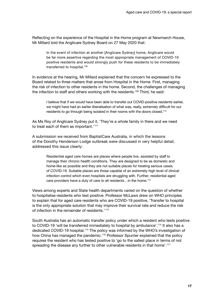Reflecting on the experience of the Hospital in the Home program at Newmarch House, Mr Millard told the Anglicare Sydney Board on 27 May 2020 that:

In the event of infection at another [Anglicare Sydney] home, Anglicare would be far more assertive regarding the most appropriate management of COVID-19 positive residents and would strongly push for these residents to be immediately transferred to hospital.<sup>108</sup>

In evidence at the hearing, Mr Millard explained that the concern he expressed to the Board related to three matters that arose from Hospital in the Home. First, managing the risk of infection to other residents in the home. Second, the challenges of managing the infection to staff and others working with the residents.109 Third, he said:

I believe that if we would have been able to transfer out COVID-positive residents earlier, we might have had an earlier liberalisation of what was, really, extremely difficult for our residents to go through being isolated in their rooms with the doors closed.<sup>110</sup>

As Ms Roy of Anglicare Sydney put it, 'They're a whole family in there and we need to treat each of them as important.'<sup>111</sup>

A submission we received from BaptistCare Australia, in which the lessons of the Dorothy Henderson Lodge outbreak were discussed in very helpful detail, addressed this issue clearly:

> Residential aged care homes are places where people live, assisted by staff to manage their chronic health conditions. They are designed to be as domestic and home-like as possible and they are not suitable places for treating serious cases of COVID-19. Suitable places are those capable of an extremely high level of clinical infection control which even hospitals are struggling with. Further, residential aged care providers have a duty of care to all residents…in the home. 112

Views among experts and State health departments varied on the question of whether to hospitalise residents who test positive. Professor McLaws drew on WHO principles to explain that for aged care residents who are COVID-19 positive, 'Transfer to hospital is the only appropriate solution that may improve their survival rate and reduce the risk of infection in the remainder of residents.'113

South Australia has an automatic transfer policy under which a resident who tests positive to COVID-19 'will be transferred immediately to hospital by ambulance'.114 It also has a dedicated COVID-19 hospital.115 The policy was informed by the WHO's investigation of how China has managed the pandemic.116 Professor Spurrier explained that the policy requires the resident who has tested positive to 'go to the safest place in terms of not spreading the disease any further to other vulnerable residents in that home'.<sup>117</sup>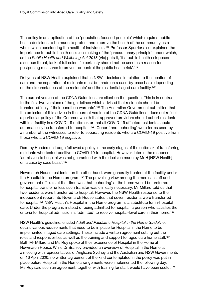The policy is an application of the 'population focused principle' which requires public health decisions to be made to protect and improve the health of the community as a whole while considering the health of individuals.<sup>118</sup> Professor Spurrier also explained the importance to public health decision-making of the 'precautionary principle', under which, as the *Public Health and Wellbeing Act 2018* (Vic) puts it, 'if a public health risk poses a serious threat, lack of full scientific certainty should not be used as a reason for postponing measures to prevent or control the public health risk'.119

Dr Lyons of NSW Health explained that in NSW, 'decisions in relation to the location of care and the separation of residents must be made on a case-by-case basis depending on the circumstances of the residents' and the residential aged care facility.<sup>120</sup>

The current version of the CDNA Guidelines are silent on the question. This is in contrast to the first two versions of the guidelines which advised that residents should be transferred 'only if their condition warrants'.<sup>121</sup> The Australian Government submitted that the omission of this advice in the current version of the CDNA Guidelines 'does not reflect a particular policy of the Commonwealth that approved providers should cohort residents within a facility in a COVID-19 outbreak or that all COVID-19 affected residents should automatically be transferred to hospital'.<sup>122</sup> 'Cohort' and 'cohorting' were terms used by a number of the witnesses to refer to separating residents who are COVID-19 positive from those who are COVID-19 negative.

Dorothy Henderson Lodge followed a policy in the early stages of the outbreak of transferring residents who tested positive to COVID-19 to hospital. However, later in the response 'admission to hospital was not guaranteed with the decision made by MoH [NSW Health] on a case by case basis'.123

Newmarch House residents, on the other hand, were generally treated at the facility under the Hospital in the Home program.<sup>124</sup> The prevailing view among the medical staff and government officials at that time was that 'cohorting' at the home would be preferred to hospital transfer unless such transfer was clinically necessary. Mr Millard told us that two residents were transferred to hospital. However, the NSW Health response to the independent report into Newmarch House states that seven residents were transferred to hospital.<sup>125</sup> NSW Health's Hospital in the Home program is a substitute for in-hospital care. Under the program, instead of being admitted to hospital, a person who satisfies the criteria for hospital admission is 'admitted' to receive hospital-level care in their home.126

NSW Health's guideline, entitled *Adult and Paediatric Hospital in the Home Guideline*, details various requirements that need to be in place for Hospital in the Home to be implemented in aged care settings. These include a written agreement setting out the roles and responsibilities as well as the training and support for aged care home staff.<sup>127</sup> Both Mr Millard and Ms Roy spoke of their experience of Hospital in the Home at Newmarch House. While Dr Branley provided an overview of Hospital in the Home at a meeting with representatives of Anglicare Sydney and the Australian and NSW Governments on 16 April 2020, no written agreement of the kind contemplated in the policy was put in place before Hospital in the Home arrangements were implemented the following day. Ms Roy said such an agreement, together with training for staff, would have been useful.<sup>128</sup>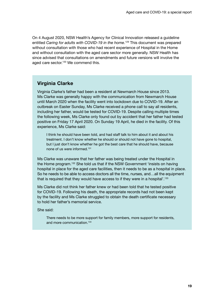On 4 August 2020, NSW Health's Agency for Clinical Innovation released a guideline entitled *Caring for adults with COVID-19 in the home*. 129 This document was prepared without consultation with those who had recent experience of Hospital in the Home and without consultation with the aged care sector more generally. NSW Health has since advised that consultations on amendments and future versions will involve the aged care sector.<sup>130</sup> We commend this.

### **Virginia Clarke**

Virginia Clarke's father had been a resident at Newmarch House since 2013. Ms Clarke was generally happy with the communication from Newmarch House until March 2020 when the facility went into lockdown due to COVID-19. After an outbreak on Easter Sunday, Ms Clarke received a phone call to say all residents, including her father, would be tested for COVID-19. Despite calling multiple times the following week, Ms Clarke only found out by accident that her father had tested positive on Friday 17 April 2020. On Sunday 19 April, he died in the facility. Of this experience, Ms Clarke said:

I think he should have been told, and had staff talk to him about it and about his treatment. I don't know whether he should or should not have gone to hospital, but I just don't know whether he got the best care that he should have, because none of us were informed.131

Ms Clarke was unaware that her father was being treated under the Hospital in the Home program.132 She told us that if the NSW Government 'insists on having hospital in place for the aged care facilities, then it needs to be as a hospital in place. So he needs to be able to access doctors all the time, nurses, and…all the equipment that is required that they would have access to if they were in a hospital'.<sup>133</sup>

Ms Clarke did not think her father knew or had been told that he tested positive for COVID-19. Following his death, the appropriate records had not been kept by the facility and Ms Clarke struggled to obtain the death certificate necessary to hold her father's memorial service.

She said:

There needs to be more support for family members, more support for residents, and more communication.134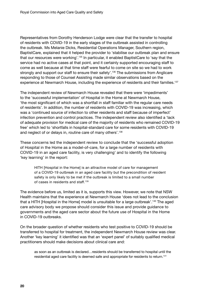Representatives from Dorothy Henderson Lodge were clear that the transfer to hospital of residents with COVID-19 in the early stages of the outbreak assisted in controlling the outbreak. Ms Melanie Dicks, Residential Operations Manager, Southern region, BaptistCare, explained that it helped the provider to 'stabilise our outbreak plan and ensure that our resources were working'.135 In particular, it enabled BaptistCare to 'say that the service had no active cases at that point, and it certainly supported encouraging staff to come as well because at that time staff were fearful to come on site so we had to work strongly and support our staff to ensure their safety'.<sup>136</sup> The submissions from Anglicare responding to those of Counsel Assisting made similar observations based on the experience at Newmarch House, including the experience of residents and their families.<sup>137</sup>

The independent review of Newmarch House revealed that there were 'impediments' to the 'successful implementation' of Hospital in the Home at Newmarch House, 'the most significant of which was a shortfall in staff familiar with the regular care needs of residents'. In addition, the number of residents with COVID-19 was increasing, which was a 'continued source of infection to other residents and staff because of imperfect' infection prevention and control practices. The independent review also identified a 'lack of adequate provision for medical care of the majority of residents who remained COVID-19 free' which led to 'shortfalls in hospital-standard care for some residents with COVID-19 and neglect of or delays in, routine care of many others'.<sup>138</sup>

These concerns led the independent review to conclude that the 'successful adoption of Hospital in the Home as a model-of-care, for a large number of residents with COVID-19 in an aged care facility, is very challenging' and to identify the following 'key learning' in the report:

HITH [Hospital in the Home] is an attractive model of care for management of a COVID-19 outbreak in an aged care facility but the precondition of resident safety is only likely to be met if the outbreak is limited to a small number of cases in residents and staff.<sup>139</sup>

The evidence before us, limited as it is, supports this view. However, we note that NSW Health maintains that the experience at Newmarch House 'does not lead to the conclusion that a HITH [Hospital in the Home] model is unsuitable for a large outbreak'.140 The aged care advisory body we propose should consider this issue and provide guidance to governments and the aged care sector about the future use of Hospital in the Home in COVID-19 outbreaks.

On the broader question of whether residents who test positive to COVID-19 should be transferred to hospital for treatment, the independent Newmarch House review was clear. Another 'key learning' it identified was that an 'expert panel' of suitably qualified medical practitioners should make decisions about clinical care and:

as soon as an outbreak is declared…residents should be transferred to hospital until the residential aged care facility is deemed safe and appropriate for residents to return.<sup>141</sup>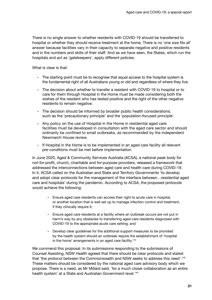There is no single answer to whether residents with COVID-19 should be transferred to hospital or whether they should receive treatment at the home. There is no 'one size fits all' answer because facilities vary in their capacity to separate negative and positive residents and in the numbers and skills of their staff. And as we have seen, the States, which run the hospitals and act as 'gatekeepers', apply different policies.

What is clear is that:

- The starting point must be to recognise that equal access to the hospital system is the fundamental right of all Australians young or old and regardless of where they live.
- The decision about whether to transfer a resident with COVID-19 to hospital or to care for them through Hospital in the Home must be made considering both the wishes of the resident who has tested positive and the right of the other negative residents to remain negative.
- The decision should be informed by broader public health considerations, such as the 'precautionary principle' and the 'population-focused principle'.
- Any policy on the use of Hospital in the Home in residential aged care facilities must be developed in consultation with the aged care sector and should ordinarily be confined to small outbreaks, as recommended by the independent Newmarch House review.
- If Hospital in the Home is to be implemented in an aged care facility all relevant pre-conditions must be met before implementation.

In June 2020, Aged & Community Services Australia (ACSA), a national peak body for not-for-profit, church, charitable and for-purpose providers, released a framework that addressed the interconnections between aged care and health care during COVID-19. In it, ACSA called on the Australian and State and Territory Governments 'to develop and adopt clear protocols for the management of the interface between…residential aged care and hospitals' during the pandemic. According to ACSA, the proposed protocols would achieve the following:

- Ensure aged care residents can access their right to acute care in hospital, or another location that is well set up to manage infection control and treatment, if they clinically require it;
- Ensure aged care residents at a facility where an outbreak occurs are not put in harm's way by any obstacles to transferring aged care residents diagnosed with COVID-19 to the appropriate acute care setting; and
- Develop clear guidelines for the additional support measures to be provided by the health system should an outbreak require the establishment of 'hospital in the home' arrangements in an aged care facility.<sup>142</sup>

We commend this proposal. In its submissions responding to the submissions of Counsel Assisting, NSW Health agreed that there should be clear protocols and stated that 'the protocol between the Commonwealth and NSW seeks to address this need'.143 These matters should be considered by the national aged care advisory body which we propose. There is a need, as Mr Millard said, 'for a much closer collaboration as an entire health system' at a State and Australian Government level.<sup>144</sup>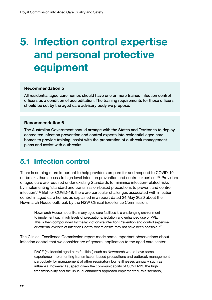## <span id="page-27-0"></span>**5. Infection control expertise and personal protective equipment**

#### **Recommendation 5**

All residential aged care homes should have one or more trained infection control officers as a condition of accreditation. The training requirements for these officers should be set by the aged care advisory body we propose.

#### **Recommendation 6**

The Australian Government should arrange with the States and Territories to deploy accredited infection prevention and control experts into residential aged care homes to provide training, assist with the preparation of outbreak management plans and assist with outbreaks.

### **5.1 Infection control**

There is nothing more important to help providers prepare for and respond to COVID-19 outbreaks than access to high level infection prevention and control expertise.145 Providers of aged care are required under existing Standards to minimise infection-related risks by implementing 'standard and transmission-based precautions to prevent and control infection'.146 But for COVID-19, there are particular challenges associated with infection control in aged care homes as explained in a report dated 24 May 2020 about the Newmarch House outbreak by the NSW Clinical Excellence Commission:

Newmarch House not unlike many aged care facilities is a challenging environment to implement such high levels of precautions, isolation and enhanced use of PPE. This is then compounded by the lack of onsite Infection Prevention and control expertise or external oversite of Infection Control where onsite may not have been possible.<sup>147</sup>

The Clinical Excellence Commission report made some important observations about infection control that we consider are of general application to the aged care sector:

RACF [residential aged care facilities] such as Newmarch would have some experience implementing transmission based precautions and outbreak management particularly for management of other respiratory borne illnesses annually such as influenza, however I suspect given the communicability of COVID-19, the high transmissibility and the unusual enhanced approach implemented, this scenario,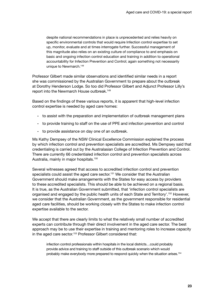despite national recommendations in place is unprecedented and relies heavily on specific environmental controls that would require Infection control expertise to set up, monitor, evaluate and at times interrogate further. Successful management of this magnitude also relies on an existing culture of compliance to and emphasis on basic and ongoing infection control education and training in addition to operational accountability for Infection Prevention and Control; again something not necessarily unique to Newmarch.<sup>148</sup>

Professor Gilbert made similar observations and identified similar needs in a report she was commissioned by the Australian Government to prepare about the outbreak at Dorothy Henderson Lodge. So too did Professor Gilbert and Adjunct Professor Lilly's report into the Newmarch House outbreak.149

Based on the findings of these various reports, it is apparent that high-level infection control expertise is needed by aged care homes:

- to assist with the preparation and implementation of outbreak management plans
- to provide training to staff on the use of PPE and infection prevention and control
- to provide assistance on day one of an outbreak.

Ms Kathy Dempsey of the NSW Clinical Excellence Commission explained the process by which infection control and prevention specialists are accredited. Ms Dempsey said that credentialing is carried out by the Australasian College of Infection Prevention and Control. There are currently 66 credentialed infection control and prevention specialists across Australia, mainly in major hospitals.150

Several witnesses agreed that access to accredited infection control and prevention specialists could assist the aged care sector.<sup>151</sup> We consider that the Australian Government should make arrangements with the States for easy access by providers to these accredited specialists. This should be able to be achieved on a regional basis. It is true, as the Australian Government submitted, that 'infection control specialists are organised and engaged by the public health units of each State and Territory'.152 However, we consider that the Australian Government, as the government responsible for residential aged care facilities, should be working closely with the States to make infection control expertise available to the sector.

We accept that there are clearly limits to what the relatively small number of accredited experts can contribute through their direct involvement in the aged care sector. The best approach may be to use their expertise in training and mentoring roles to increase capacity in the aged care sector.<sup>153</sup> Professor Gilbert considered that:

infection control professionals within hospitals in the local districts…could probably provide advice and training to staff outside of this outbreak scenario which would probably make everybody more prepared to respond quickly when the situation arises.154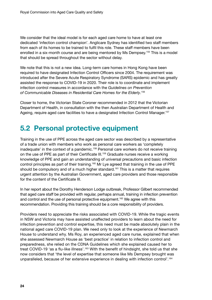<span id="page-29-0"></span>We consider that the ideal model is for each aged care home to have at least one dedicated 'infection control champion'. Anglicare Sydney has identified two staff members from each of its homes to be trained to fulfil this role. These staff members have been enrolled in a six-month course and are being mentored by Ms Dempsey.<sup>155</sup> This is a model that should be spread throughout the sector without delay.

We note that this is not a new idea. Long-term care homes in Hong Kong have been required to have designated Infection Control Officers since 2004. The requirement was introduced after the Severe Acute Respiratory Syndrome (SARS) epidemic and has greatly assisted the response to COVID-19 in 2020. Their role is to coordinate and implement infection control measures in accordance with the *Guidelines on Prevention of Communicable Diseases in Residential Care Homes for the Elderly*. 156

Closer to home, the Victorian State Coroner recommended in 2012 that the Victorian Department of Health, in consultation with the then Australian Department of Health and Ageing, require aged care facilities to have a designated Infection Control Manager.<sup>157</sup>

### **5.2 Personal protective equipment**

Training in the use of PPE across the aged care sector was described by a representative of a trade union with members who work as personal care workers as 'completely inadequate' in the context of a pandemic.<sup>158</sup> Personal care workers do not receive training on the use of PPE as part of their Certificate III.<sup>159</sup> Graduate nurses receive a working knowledge of PPE and gain an understanding of universal precautions and basic infection control principles as part of their training.<sup>160</sup> Mr Lye agreed that training in the use of PPE should be compulsory and of a much higher standard.<sup>161</sup> This is a matter that requires urgent attention by the Australian Government, aged care providers and those responsible for the content of the Certificate III.

In her report about the Dorothy Henderson Lodge outbreak, Professor Gilbert recommended that aged care staff be provided with regular, perhaps annual, training in infection prevention and control and the use of personal protective equipment.<sup>162</sup> We agree with this recommendation. Providing this training should be a core responsibility of providers.

Providers need to appreciate the risks associated with COVID-19. While the tragic events in NSW and Victoria may have assisted unaffected providers to learn about the need for infection prevention and control expertise, this need must be made absolutely plain in the national aged care COVID-19 plan. We need only to look at the experience of Newmarch House to understand why. Ms Roy, an experienced aged care nurse, explained that when she assessed Newmarch House as 'best practice' in relation to infection control and preparedness, she relied on the CDNA Guidelines which she explained caused her to treat COVID-19 'as a flu-like illness'.<sup>163</sup> With the benefit of hindsight, she told us that she now considers that 'the level of expertise that someone like Ms Dempsey brought was unparalleled, because of her extensive experience in dealing with infection control'.<sup>164</sup>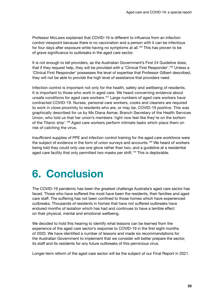<span id="page-30-0"></span>Professor McLaws explained that COVID-19 is different to influenza from an infection control viewpoint because there is no vaccination and a person with it can be infectious for four days after exposure while having no symptoms at all.<sup>165</sup> This has proven to be of grave significance to outbreaks in the aged care sector.

It is not enough to tell providers, as the Australian Government's First 24 Guideline does, that if they request help, they will be provided with a 'Clinical First Responder'.<sup>166</sup> Unless a 'Clinical First Responder' possesses the level of expertise that Professor Gilbert described, they will not be able to provide the high level of assistance that providers need.

Infection control is important not only for the health, safety and wellbeing of residents. It is important to those who work in aged care. We heard concerning evidence about unsafe conditions for aged care workers.<sup>167</sup> Large numbers of aged care workers have contracted COVID-19. Nurses, personal care workers, cooks and cleaners are required to work in close proximity to residents who are, or may be, COVID-19 positive. This was graphically described for us by Ms Diana Asmar, Branch Secretary of the Health Services Union, who told us that her union's members 'right now feel like they're on the bottom of the Titanic ship'.168 Aged care workers perform intimate tasks which place them on risk of catching the virus.

Insufficient supplies of PPE and infection control training for the aged care workforce were the subject of evidence in the form of union surveys and accounts.169 We heard of workers being told they could only use one glove rather than two, and a guideline at a residential aged care facility that only permitted two masks per shift.<sup>170</sup> This is deplorable.

## **6. Conclusion**

The COVID-19 pandemic has been the greatest challenge Australia's aged care sector has faced. Those who have suffered the most have been the residents, their families and aged care staff. The suffering has not been confined to those homes which have experienced outbreaks. Thousands of residents in homes that have not suffered outbreaks have endured months of isolation which has had and continues to have a terrible effect on their physical, mental and emotional wellbeing.

We decided to hold this hearing to identify what lessons can be learned from the experience of the aged care sector's response to COVID-19 in the first eight months of 2020. We have identified a number of lessons and made six recommendations for the Australian Government to implement that we consider will better prepare the sector, its staff and its residents for any future outbreaks of this pernicious virus.

Longer-term reform of the aged care sector will be the subject of our Final Report in 2021.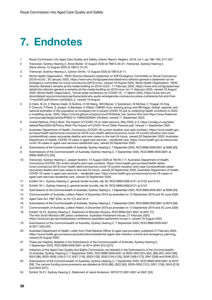## <span id="page-31-0"></span>**7. Endnotes**

- 1 Royal Commission into Aged Care Quality and Safety, *Interim Report: Neglect*, 2019, vol 1, pp 186–190; 217–227.
- 2 Transcript, Sydney Hearing 2, Annie Butler, 12 August 2020 at T8613.30–31; Transcript, Sydney Hearing 2, Diana Asmar, 12 August 2020 at T8615.15–23.
- 3 Transcript, Sydney Hearing 2, Carolyn Smith, 12 August 2020 at T8613.9–11.
- 4 World Health Organization, 'WHO Director-General's statement on IHR Emergency Committee on Novel Coronavirus (2019-nCoV)', 30 January 2020, [https://www.who.int/dg/speeches/detail/who-director-general-s-statement-on-ihr](https://www.who.int/dg/speeches/detail/who-director-general-s-statement-on-ihr-emergency-committee-on-novel-coronavirus-(2019-ncov))[emergency-committee-on-novel-coronavirus-\(2019-ncov\)](https://www.who.int/dg/speeches/detail/who-director-general-s-statement-on-ihr-emergency-committee-on-novel-coronavirus-(2019-ncov)), viewed 19 August 2020; World Health Organization, 'WHO Director-General's remarks at the media briefing on 2019-nCoV', 11 February 2020, [https://www.who.int/dg/speeches/](https://www.who.int/dg/speeches/detail/who-director-general-s-remarks-at-the-media-briefing-on-2019-ncov-on-11-february-2020) [detail/who-director-general-s-remarks-at-the-media-briefing-on-2019-ncov-on-11-february-2020](https://www.who.int/dg/speeches/detail/who-director-general-s-remarks-at-the-media-briefing-on-2019-ncov-on-11-february-2020), viewed 19 August 2020; World Health Organization, 'Virtual press conference on COVID-19', 11 March 2020, [https://www.who.int/](https://www.who.int/docs/default-source/coronaviruse/transcripts/who-audio-emergencies-coronavirus-press-conference-full-and-final-11mar2020.pdf?sfvrsn=cb432bb3_2) [docs/default-source/coronaviruse/transcripts/who-audio-emergencies-coronavirus-press-conference-full-and-final-](https://www.who.int/docs/default-source/coronaviruse/transcripts/who-audio-emergencies-coronavirus-press-conference-full-and-final-11mar2020.pdf?sfvrsn=cb432bb3_2)[11mar2020.pdf?sfvrsn=cb432bb3\\_2](https://www.who.int/docs/default-source/coronaviruse/transcripts/who-audio-emergencies-coronavirus-press-conference-full-and-final-11mar2020.pdf?sfvrsn=cb432bb3_2), viewed 19 August.
- 5 A Clark, M Jit, C Warren-Gash, B Guthrie, H HX Wang, SW Mercer, C Sanderson, M McKee, C Troeger, KI Ong, F Checchi, P Perel, S Joseph, A Banerjee, H Gibbs, CMMID nCov working group and RM Eggo, *Global, regional, and national estimates of the population at increased risk of severe COVID-19 due to underlying health conditions in 2020: a modelling study*, 2020, [https://cmmid.github.io/topics/covid19/Global\\_risk\\_factors.html](https://cmmid.github.io/topics/covid19/Global_risk_factors.html) and [https://www.thelancet.](https://www.thelancet.com/journals/langlo/article/PIIS2214-109X(20)30264-3/fulltext) [com/journals/langlo/article/PIIS2214-109X\(20\)30264-3/fulltext,](https://www.thelancet.com/journals/langlo/article/PIIS2214-109X(20)30264-3/fulltext) viewed 11 September 2020.
- 6 United Nations, *Policy Brief: The Impact of COVID-19 on older persons*, May 2020, p 3, [https://unsdg.un.org/sites/](https://unsdg.un.org/sites/default/files/2020-05/Policy-Brief-The-Impact-of-COVID-19-on-Older-Persons.pdf) [default/files/2020-05/Policy-Brief-The-Impact-of-COVID-19-on-Older-Persons.pdf](https://unsdg.un.org/sites/default/files/2020-05/Policy-Brief-The-Impact-of-COVID-19-on-Older-Persons.pdf), viewed 11 September 2020.
- 7 Australian Department of Health, *Coronavirus (COVID-19) current situation and case numbers*, https://www.health.gov. [au/news/health-alerts/novel-coronavirus-2019-ncov-health-alert/coronavirus-covid-19-current-situation-and-case](https://www.health.gov.au/news/health-alerts/novel-coronavirus-2019-ncov-health-alert/coronavirus-covid-19-current-situation-and-casenumbers#total-cases-recoveries-deaths-and-new-cases-in-the-last-24-hours)numbers#total-cases-recoveries-deaths-and-new-cases-in-the-last-24-hours, viewed 20 September 2020; Australian Department of Health, *COVID-19 cases in aged care services – residential care*, [https://www.health.gov.au/resources/](https://www.health.gov.au/resources/covid-19-cases-in-aged-care-services-residential-care) [covid-19-cases-in-aged-care-services-residential-care](https://www.health.gov.au/resources/covid-19-cases-in-aged-care-services-residential-care), viewed 20 September 2020.
- 8 Submissions of the Commonwealth of Australia, Sydney Hearing 2, 7 September 2020, RCD.9999.0509.0001 at 0008 [30].
- 9 Submissions of the Commonwealth of Australia, Sydney Hearing 2, 7 September 2020, RCD.9999.0509.0001 at 0008–0009 [31]–[32].
- 10 Transcript, Sydney Hearing 2, Joseph Ibrahim, 12 August 2020 at T8576.1–7; Australian Department of Health, *Coronavirus (COVID-19) current situation and case numbers*, https://www.health.gov.au/news/health-alerts/ [novel-coronavirus-2019-ncov-health-alert/coronavirus-covid-19-current-situation-and-case-numbers#total-cases](https://www.health.gov.au/news/health-alerts/novel-coronavirus-2019-ncov-health-alert/coronavirus-covid-19-current-situation-and-case-numbers#total-casesrecoveries-deaths-and-new-cases-in-the-last-24-hours)recoveries-deaths-and-new-cases-in-the-last-24-hours, viewed 20 September 2020; Australian Department of Health, *COVID-19 cases in aged care services – residential care*, [https://www.health.gov.au/resources/covid-19-cases-in](https://www.health.gov.au/resources/covid-19-cases-in-aged-care-services-residential-care)[aged-care-services-residential-care](https://www.health.gov.au/resources/covid-19-cases-in-aged-care-services-residential-care), viewed 20 September 2020.
- 11 Exhibit 18-1, Sydney Hearing 2, general tender bundle, tab 30, RCD.9999.0366.0121 at 0125 and 0142.
- 12 Exhibit 18-1, Sydney Hearing 2, general tender bundle, tab 30, RCD.9999.0366.0121 at 0147.
- 13 Submissions of the Commonwealth of Australia, Sydney Hearing 2, 7 September 2020, RCD.9999.0509.0001 at 0009 [33].
- 14 Commonwealth of Australia, *Letters Patent*, 6 December 2018 as amended on 13 September 2019 and 25 June 2020.
- 15 *Aged Care Act 1997* (Cth), ss 54-1(1) and 54-2.
- 16 Submissions of the Commonwealth of Australia, Sydney Hearing 2, 7 September 2020, RCD.9999.0509.0001 at 0010 [38].
- 17 Commonwealth of Australia, *Letters Patent*, 6 December 2018 as amended on 13 September 2019 and 25 June 2020. 18 Exhibit 18-23, Sydney Hearing 2, Statement of Brendan Murphy, RCD.9999.0447.0001 at 0001 [7];
- The Hon Scott Morrison MP, press conference, Australian Parliament House, 27 February 2020, [https://www.pm.gov.au/media/press-conference-australian-parliament-house-4,](https://www.pm.gov.au/media/press-conference-australian-parliament-house-4) viewed 19 August 2020.
- 19 Submissions of the Commonwealth of Australia, Sydney Hearing 2, 7 September 2020, RCD.9999.0509.0001 at 0011 [42]–[44].
- 20 Australian Department of Health, *Letter from Chief Medical Officer to aged care providers,* published 27 February 2020, <https://www.health.gov.au/resources/publications/residential-aged-care-infection-control-and-emergency-planning>, viewed 20 August 2020.
- 21 These are helpfully detailed in the Submissions of the Commonwealth of Australia, Sydney Hearing 2, 7 September 2020, RCD.9999.0509.0001 at 0014–0044 [57]–[227].
- 22 Initiatives of the Aged Care Quality and Safety Commission are detailed in the Submissions of the Commonwealth of Australia, Sydney Hearing 2, 7 September 2020, RCD.9999.0509.0001 at 0020–0022 [81]–[82], [86]–[87], 0024 [96], 0024 [98], 0025–0026 [104]–[111], 0027 [116], 0029 [130], 0030 [134]–[135], 0036 [169]–[172], 0041 [208] and 0046 [231].
- 23 Submissions of the Commonwealth of Australia, Sydney Hearing 2, 7 September 2020, RCD.9999.0509.0001 at 0010 [39]. The various funding announcements are detailed at 0016 [66], 0022 [85], 0029–0030 [131], 0031 [139], 0043 [219] and 0043 [221].
- 24 Exhibit 18-21, Sydney Hearing 2, Statement of Janet Anderson, WIT.0772.0001.0001 at 0007 [33].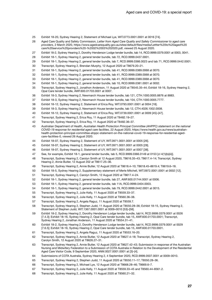- Exhibit 18-20, Sydney Hearing 2, Statement of Michael Lye, WIT.0773.0001.0001 at 0016 [74].
- Aged Care Quality and Safety Commission, *Letter from Aged Care Quality and Safety Commissioner to aged care providers*, 2 March 2020, [https://www.agedcarequality.gov.au/sites/default/files/media/Lettter%20to%20aged%20](https://www.agedcarequality.gov.au/sites/default/files/media/Lettter%20to%20aged%20care%20service%20providers%20-%2002%2003%202020.pdf) [care%20service%20providers%20-%2002%2003%202020.pdf](https://www.agedcarequality.gov.au/sites/default/files/media/Lettter%20to%20aged%20care%20service%20providers%20-%2002%2003%202020.pdf), viewed 25 August 2020.
- Exhibit 18-2, Sydney Hearing 2, Dorothy Henderson Lodge tender bundle, tab 14, RCD.9999.0379.0001 at 0003, 0041.
- Exhibit 18-1, Sydney Hearing 2, general tender bundle, tab 72, RCD.9999.0437.0001.
- Exhibit 18-1, Sydney Hearing 2, general tender bundle, tab 7, RCD.9999.0366.0023 and tab 71, RCD.9999.0442.0001.
- Transcript, Sydney Hearing 2, Brendan Murphy, 12 August 2020 at T8679.20–21.
- Exhibit 18-1, Sydney Hearing 2, general tender bundle, tab 41, RCD.9999.0389.0068 at 0070.
- Exhibit 18-1, Sydney Hearing 2, general tender bundle, tab 41, RCD.9999.0389.0068 at 0070.
- Exhibit 18-1, Sydney Hearing 2, general tender bundle, tab 41, RCD.9999.0389.0068 at 0070.
- Exhibit 18-1, Sydney Hearing 2, general tender bundle, tab 10, RCD.9999.0381.0001 at 0002.
- Transcript, Sydney Hearing 2, Jonathon Anderson, 11 August 2020 at T8545.35–44; Exhibit 18-16, Sydney Hearing 2, Opal Care tender bundle, AWF.600.01703.0001 at 0007.
- Exhibit 18-3, Sydney Hearing 2, Newmarch House tender bundle, tab 121, CTH.1000.0005.8876 at 8883.
- Exhibit 18-3, Sydney Hearing 2, Newmarch House tender bundle, tab 104, CTH.1000.0005.7777.
- Exhibit 18-12, Sydney Hearing 2, Statement of Erica Roy, WIT.0793.0001.0001 at 0004 [18].
- Exhibit 18-3, Sydney Hearing 2, Newmarch House tender bundle, tab 12, CTH.4026.1002.0008.
- Exhibit 18-12, Sydney Hearing 2, Statement of Erica Roy, WIT.0739.0001.0001 at 0009 [45]–[47].
- Transcript, Sydney Hearing 2, Erica Roy, 11 August 2020 at T8482.19–27.
- Transcript, Sydney Hearing 2, Erica Roy, 11 August 2020 at T8482.36–37.
- Australian Department of Health, *Australian Health Protection Principal Committee (AHPPC) statement on the national COVID-19 response for residential aged care facilities*, 22 August 2020, [https://www.health.gov.au/news/australian](https://www.health.gov.au/news/australian-health-protection-principal-committee-ahppc-statement-on-the-national-covid-19-response-for-residential-aged-care-facilities-0)[health-protection-principal-committee-ahppc-statement-on-the-national-covid-19-response-for-residential-aged](https://www.health.gov.au/news/australian-health-protection-principal-committee-ahppc-statement-on-the-national-covid-19-response-for-residential-aged-care-facilities-0)[care-facilities-0](https://www.health.gov.au/news/australian-health-protection-principal-committee-ahppc-statement-on-the-national-covid-19-response-for-residential-aged-care-facilities-0), viewed 26 August 2020.
- Exhibit 18-07, Sydney Hearing 2, Statement of UY, WIT.0971.0001.0001 at 0005 [26].
- Exhibit 18-07, Sydney Hearing 2, Statement of UY, WIT.0971.0001.0001 at 0005 [28].
- Exhibit 18-07, Sydney Hearing 2, Statement of UY, WIT.0971.0001.0001 at 0007 [38].
- See, for example, Exhibit 18-1, general tender bundle, tab 5, RCD.9999.0366.0149 at 0153 [cl 4(1)(b)(iii)].
- Transcript, Sydney Hearing 2, Carolyn Smith at 12 August 2020, T8616.35–43; T8617.4–14; Transcript, Sydney Hearing 2, Annie Butler, 12 August 202 at T8617.25–36.
- Transcript, Sydney Hearing 2, Annie Butler, 12 August 2020 at T8618.4–10; T8618.45–8619.4; T8619.6–18.
- Exhibit 18-5, Sydney Hearing 2, Supplementary statement of Merle Mitchell, WIT.0972.0001.0001 at 0002 [12].
- Transcript, Sydney Hearing 2, Carolyn Smith, 12 August 2020 at T8617.4–24.
- Exhibit 18-1, Sydney Hearing 2, general tender bundle, tab 27, AWF.600.01744.0001 at 0006.
- Exhibit 18-1, Sydney Hearing 2, general tender bundle, tab 11A, RCD.9999.0404.0003.
- Exhibit 18-1, Sydney Hearing 2, general tender bundle, tab 79, RCD.9999.0442.0001 at 0015.
- Transcript, Sydney Hearing 2, Julie Kelly, 11 August 2020 at T8559.33–37.
- Transcript, Sydney Hearing 2, Julie Kelly, 11 August 2020 at T8560.36–38.
- Transcript, Sydney Hearing 2, Angela Raguz, 11 August 2020 at T8559.7.
- Transcript, Sydney Hearing 2, Stephen Judd, 11 August 2020 at T8550.28–36; Exhibit 18-15, Sydney Hearing 2, Statement of Stephen Judd, WIT.1367.0001.0001 at 0009–0010 [53]–[58].
- Exhibit 18-2, Sydney Hearing 2, Dorothy Henderson Lodge tender bundle, tab14, RCD.9999.0379.0001 at 0026 [7.4.3]; Exhibit 18-16, Sydney Hearing 2, Opal Care tender bundle, tab 15, AWF.600.01703.0001; Transcript, Sydney Hearing 2, Jonathan Anderson, 11 August 2020 at T8554.31–41.
- Exhibit 18-2, Sydney Hearing 2, Dorothy Henderson Lodge tender bundle, tab14, RCD.9999.0379.0001 at 0029 [7.6.5]; Exhibit 18-16, Sydney Hearing 2, Opal Care tender bundle, tab 15, AWF.600.01703.0001.
- Transcript, Sydney Hearing 2, Angela Raguz, 11 August 2020 at T8553.16–20.
- Transcript, Sydney Hearing 2, Annie Butler, 12 August 2020 at T8627.4–18; Transcript, Sydney Hearing 2, Carolyn Smith, 12 August 2020 at T8626.27–31.
- Transcript, Sydney Hearing 2, Annie Butler, 12 August 2020 at T8627.42–43; Submission in response of the Australian Nursing and Midwifery Federation to a Submission of COTA Australia in Relation to the Development of the Residential Aged Care Visitor Code, 9 September 2020, ANM.0027.0001.0001 at [3]–[4].
- Submissions of COTA Australia, Sydney Hearing 2, 4 September 2020, RCD.9999.0507.0001 at 0009–0010.
- Transcript, Sydney Hearing 2, Stephen Judd, 11 August 2020 at T8550.11–17; T8550.28–36.
- Transcript, Sydney Hearing 2, Michael Lye, 12 August 2020 at T8668.28–46; T8669.6–7.
- Transcript, Sydney Hearing 2, Julie Kelly, 11 August 2020 at T8559.33–45 and T8560.44–8561.2.
- Transcript, Sydney Hearing 2, Julie Kelly, 11 August 2020 at T8560.21–32.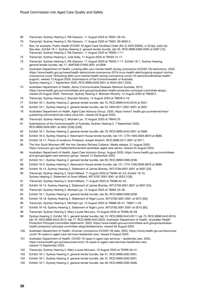- Transcript, Sydney Hearing 2, Rik Dawson, 11 August 2020 at T8561.26–34.
- Transcript, Sydney Hearing 2, Rik Dawson, 11 August 2020 at T8561.39–8562.2.
- See, for example, *Public Health (COVID-19 Aged Care Facilities) Order (No 2) 2020* (NSW), cl 5(1)(a), (c)(ii)–(iii). See also, Exhibit 18-1, Sydney Hearing 2, general tender bundle, tab 33, RCD.9999.0366.0285 at 0287 [12]. Transcript, Sydney Hearing 2, Rik Dawson, 11 August 2020 at T8563.1–11.
- Transcript, Sydney Hearing 2, Julie Kelly, 11 August 2020 at T8559.14–17.
- Transcript, Sydney Hearing 2, Rik Dawson, 11 August 2020 at T8563.1–11; Exhibit 18-1, Sydney Hearing, general tender bundle, tab 17, AWF.600.01805.0001 at 0008.
- Australian Department of Health, *Looking after your mental health during coronavirus (COVID-19) restrictions*, 2020, https://www.health.gov.au/news/health-alerts/novel-coronavirus-2019-ncov-health-alert/ongoing-support-duringcoronavirus-covid-19/looking-after-your-mental-health-during-coronavirus-covid-19-restrictions#mental-healthsupport, viewed 13 August 2020; Submissions of the Commonwealth of Australia, Sydney Hearing 2, 7 September 2020, RCD.9999.0509.0001 at 0040–0041 [204].
- Australian Department of Health, *About Communicable Diseases Network Australia*, 2015, [https://www.health.gov.au/committees-and-groups/australian-health-protection-principal-committee-ahppc,](https://www.health.gov.au/committees-and-groups/australian-health-protection-principal-committee-ahppc) viewed 20 August 2020; Transcript, Sydney Hearing 2, Brendan Murphy, 12 August 2020 at T8639.5.
- Transcript, Sydney Hearing 2, Brendan Murphy, 12 August 2020 at T8639.5–16.
- Exhibit 18-1, Sydney Hearing 2, general tender bundle, tab 75, RCD.9999.0443.0016 at 0021.
- Exhibit 18-1, Sydney Hearing 2, general tender bundle, tab 53, NDH.0017.0001.0001 at 0007.
- Australian Department of Health, *Aged Care Advisory Group*, 2020, [https://www1.health.gov.au/internet/main/](https://www1.health.gov.au/internet/main/publishing.nsf/content/cda-cdna-cdna.htm) [publishing.nsf/content/cda-cdna-cdna.htm,](https://www1.health.gov.au/internet/main/publishing.nsf/content/cda-cdna-cdna.htm) viewed 20 August 2020.
- Transcript, Sydney Hearing 2, Michael Lye, 12 August 2020 at T8643.25.
- Submissions of the Commonwealth of Australia, Sydney Hearing 2, 7 September 2020, RCD.9999.0509.0001 at 0052 [258]–[259].
- Exhibit 18-1, Sydney Hearing 2, general tender bundle, tab 79, RCD.9999.0442.0001 at 0006.
- Exhibit 18-3, Sydney Hearing 2, Newmarch House tender bundle, tab 121, CTH.1000.0005.8876 at 8886.
- Exhibit 18-17, Precis of evidence Professor Joseph Ibrahim, RCD.9999.0411.0001 at 0011.
- The Hon Scott Morrison MP, the Hon Senator Richard Colbeck, Media release, 21 August 2020, <https://www.pm.gov.au/media/reinforcement-australias-aged-care-sector>, viewed 25 August 2020.
- Australian Department of Health, *Aged Care Advisory Group*, August 2020, [https://www.health.gov.au/committees](https://www.health.gov.au/committees-and-groups/aged-care-advisory-group)[and-groups/aged-care-advisory-group](https://www.health.gov.au/committees-and-groups/aged-care-advisory-group), viewed 14 September 2020.
- Exhibit 18-1, Sydney Hearing 2, general tender bundle, tab 26, RCD.9999.0366.0238.
- Exhibit 18-3, Sydney Hearing 2, Newmarch House tender bundle, tab 121, CTH.1000.0005.8876 at 8886.
- Exhibit 18-14, Sydney Hearing 2, Statement of James Branley, WIT.0769.0001.0001 at 0007 [53].
- Transcript, Sydney Hearing 2, Grant Millard, 11 August 2020 at T8485.42–43; Exhibit 18-10, Sydney Hearing 2, Statement of Grant Millard, WIT.0787.0001.0001 at 0025 [128].
- Transcript, Sydney Hearing 2, Grant Millard, 11 August 2020 at T8486.43–45.
- Exhibit 18-14, Sydney Hearing 2, Statement of James Branley, WIT.0769.0001.0001 at 0007 [54].
- Transcript, Sydney Hearing 2, Michael Lye, 12 August 2020 at T8665.33–36.
- Exhibit 18-1, Sydney Hearing 2, general tender bundle, tab 26, RCD.9999.0366.0238.
- Exhibit 18-18, Sydney Hearing 2, Statement of Nigel Lyons, WIT.0782.0001.0001 at 0015 [83].
- Transcript, Sydney Hearing 2, Michael Lye, 12 August 2020 at T8666.39–41; T8667.1–22.
- Exhibit 18-18, Sydney Hearing 2, Statement of Nigel Lyons, WIT.0782.0001.0001 at 0015 [82].
- Transcript, Sydney Hearing 2, Mary-Louise McLaws, 10 August 2020 at T8399.26–28
- Sydney Hearing 2, Exhibit 18-1, general tender bundle, tab 74, RCD.9999.0443.0011; tab 75, RCD.9999.0443.0016; tab 76, RCD.9999.0443.0013; tab 77, RCD.9999.0443.0025; Australian Department of Health, *Australian Health Protection Principal Committee statements*, 2020, https://www.health.gov.au/committees-and-groups/australianhealth-protection-principal-committee-ahppc#statements, viewed 26 August 2020.
- Australian Department of Health, *Victorian coronavirus (COVID-19) data*, 2020, [https://www.health.gov.au/resources/](https://www.health.gov.au/resources/covid-19-cases-in-aged-care-services-residential-care) [covid-19-cases-in-aged-care-services-residential-care](https://www.health.gov.au/resources/covid-19-cases-in-aged-care-services-residential-care), viewed 6 August 2020.
- Australian Department of Health, *COVID-19 cases in aged care services residential care*, 2020, [https://www.health.gov.au/resources/covid-19-cases-in-aged-care-services-residential-care,](https://www.health.gov.au/resources/covid-19-cases-in-aged-care-services-residential-care) viewed 13 September 2020.
- Transcript, Sydney Hearing 2, Mary-Louise McLaws, 10 August 2020 at T8399.30–31.
- Exhibit 18-1, Sydney Hearing 2, general tender bundle, tab 31, RCD.9999.0382.0001.
- Exhibit 18-1, Sydney Hearing 2, general tender bundle, tab 47, RCD.9999.0392.0001.
- Exhibit 18-1, Sydney Hearing 2, general tender bundle, tab 48, RCD.9999.0392.0008.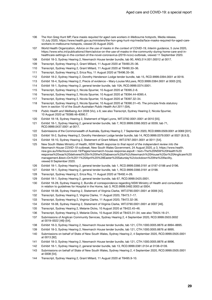- The Hon Greg Hunt MP, *Face masks required for aged care workers in Melbourne hotspots*, Media release, 13 July 2020, [https://www.health.gov.au/ministers/the-hon-greg-hunt-mp/media/face-masks-required-for-aged-care](https://www.health.gov.au/ministers/the-hon-greg-hunt-mp/media/face-masks-required-for-aged-care-workers-in-melbourne-hotspots)[workers-in-melbourne-hotspots,](https://www.health.gov.au/ministers/the-hon-greg-hunt-mp/media/face-masks-required-for-aged-care-workers-in-melbourne-hotspots) viewed 20 August 2020.
- World Health Organization, *Advice on the use of masks in the context of COVID-19, Interim guidance*, 5 June 2020, [https://www.who.int/publications/i/item/advice-on-the-use-of-masks-in-the-community-during-home-care-and-in](https://www.who.int/publications/i/item/advice-on-the-use-of-masks-in-the-community-during-home-care-and-in-healthcare-settings-in-the-context-of-the-novel-coronavirus-(2019-ncov)-outbreak)[healthcare-settings-in-the-context-of-the-novel-coronavirus-\(2019-ncov\)-outbreak,](https://www.who.int/publications/i/item/advice-on-the-use-of-masks-in-the-community-during-home-care-and-in-healthcare-settings-in-the-context-of-the-novel-coronavirus-(2019-ncov)-outbreak) viewed 11 September 2020.
- Exhibit 18-3, Sydney Hearing 2, Newmarch House tender bundle, tab 90, ANG.514.001.00012 at 0017.
- Transcript, Sydney Hearing 2, Grant Millard, 11 August 2020 at T8490.25–36.
- Transcript, Sydney Hearing 2, Grant Millard, 11 August 2020 at T8490.33–36.
- Transcript, Sydney Hearing 2, Erica Roy, 11 August 2020 at T8496.35–36.
- Exhibit 18-2, Sydney Hearing 2, Dorothy Henderson Lodge tender bundle, tab 15, RCD.9999.0394.0001 at 0018.
- Exhibit 18-4, Sydney Hearing 2, Precis of evidence Mary-Louise McLaws, RCD.9999.0384.0001 at 0005 [25].
- Exhibit 18-1, Sydney Hearing 2, general tender bundle, tab 10A, RCD.9999.0374.0001.
- Transcript, Sydney Hearing 2, Nicola Spurrier, 10 August 2020 at T8395.2–6.
- Transcript, Sydney Hearing 2, Nicola Spurrier, 10 August 2020 at T8394.44–8395.4.
- Transcript, Sydney Hearing 2, Nicola Spurrier, 10 August 2020 at T8397.32–34.
- Transcript, Sydney Hearing 2, Nicola Spurrier, 10 August 2020 at T8390.31–45. The principle finds statutory form in section 10 of the *South Australian Public Health Act 2011* (SA).
- *Public Health and Wellbeing Act 2008* (Vic), s 6; see also Transcript, Sydney Hearing 2, Nicola Spurrier, 10 August 2020 at T8389.46–8390.7.
- Exhibit 18-18, Sydney Hearing 2, Statement of Nigel Lyons, WIT.0782.0001.0001 at 0010 [55].
- Exhibit 18-1, Sydney Hearing 2, general tender bundle, tab 7, RCD.9999.0366.0023 at 0039; tab 71, RCD.9999.0437.0001 at 0017.
- Submissions of the Commonwealth of Australia, Sydney Hearing 2, 7 September 2020, RCD.9999.0509.0001 at 0069 [331].
- Exhibit 18-2, Sydney Hearing 2, Dorothy Henderson Lodge tender bundle, tab 14, RCD.9999.0379.0001 at 0021 [6.9.3].
- Exhibit 18-10, Sydney Hearing 2, Statement of Grant Millard, WIT.0787.0001.0001 at 0011 [54].
- New South Wales Ministry of Health, *NSW Health response to final report of the independent review into the Newmarch House COVID-19 outbreak*, New South Wales Government, 24 August 2020, p 3, https://www.health. nsw.gov.au/Infectious/covid-19/Pages/newmarch-house-response.aspx#:~:text=The%20NSW%20Health%20 [response%20was%20delivered%20in%20the%20absence%20of%2cNewmarch%20House%20or%20Anglicare%20](https://www.health.nsw.gov.au/Infectious/covid-19/Pages/newmarch-house-response.aspx#:~:text=The%20NSW%20Health%20response%20was%20delivered%20in%20the%20absence%20of%2cNewmarch%20House%20or%20Anglicare%20management.&text=On%2011%20April%20%28Easter%20Saturday%2clockdown%20the%20facility) management.&text=On%2011%20April%20%28Easter%20Saturday%2clockdown%20the%20facility, viewed 8 September 2020.
- Exhibit 18-1, Sydney Hearing 2, general tender bundle, tab 1, RCD.9999.0366.0181 at 0187–0188 and 0196.
- Exhibit 18-1, Sydney Hearing 2, general tender bundle, tab 1, RCD.9999.0366.0181 at 0198.
- Transcript, Sydney Hearing 2, Erica Roy, 11 August 2020 at T8492.4–26.
- Exhibit 18-1, Sydney Hearing 2, general tender bundle, tab 67, RCD.9999.0425.0001.
- Exhibit 18-28, Sydney Hearing 2, Bundle of correspondence regarding NSW Ministry of Health and consultation in relation to guidelines for Hospital in the Home, tab 3, RCD.9999.0482.0003 at 0004.
- Exhibit 18-08, Sydney Hearing 2, Statement of Virginia Clarke, WIT.0790.0001.0001 at 0006 [42].
- Transcript, Sydney Hearing 2, Virginia Clarke, 11 August 2020, T8473.7–17.
- Transcript, Sydney Hearing 2, Virginia Clarke, 11 August 2020, T8472.32–36.
- Exhibit 18-08, Sydney Hearing 2, Statement of Virginia Clarke, WIT.0790.0001.0001 at 0007 [46].
- Transcript, Sydney Hearing 2, Melanie Dicks, 10 August 2020 at T8422.45–46.
- Transcript, Sydney Hearing 2, Melanie Dicks, 10 August 2020 at T8423.31–34; see also T8424.16–21.
- Submissions of Anglican Community Services, Sydney Hearing 2, 4 September 2020, RCD.9999.0503.0002 at 0019–0022 [46]–[54].
- Exhibit 18-3, Sydney Hearing 2, Newmarch House tender bundle, tab 121, CTH.1000.0005.8876 at 8894–8895.
- Exhibit 18-3, Sydney Hearing 2, Newmarch House tender bundle, tab 121, CTH.1000.0005.8876 at 8895.
- Submissions on behalf of State of New South Wales, Sydney Hearing 2, 4 September 2020, RCD.9999.0505.0001 at 0013 [92].
- Exhibit 18-3, Sydney Hearing 2, Newmarch House tender bundle, tab 121, CTH.1000.0005.8876 at 8896.
- Exhibit 18-1, Sydney Hearing 2, general tender bundle, tab 13, RCD.9999.0381.0134 at 0138–0139.
- Submissions on behalf of State of New South Wales, Sydney Hearing 2, 4 September 2020, RCD.9999.0505.0001 at 0008 [54].
- Transcript, Sydney Hearing 2, Grant Millard, 11 August 2020 at T8495.9-10.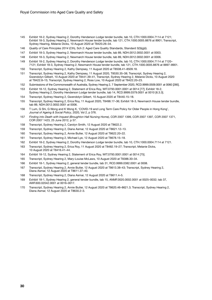- Exhibit 18-2, Sydney Hearing 2, Dorothy Henderson Lodge tender bundle, tab 10, CTH.1000.0004.7114 at 7121; Exhibit 18-3, Sydney Hearing 2, Newmarch House tender bundle, tab 121, CTH.1000.0005.8876 at 8901; Transcript, Sydney Hearing, Melanie Dicks, 10 August 2020 at T8420.26–34.
- *Quality of Care Principles 2014* (Cth), Sch 2: Aged Care Quality Standards, Standard 3(3)(g)(i).
- Exhibit 18-3, Sydney Hearing 2, Newmarch House tender bundle, tab 89, NDH.0012.0002.0001 at 0003.
- Exhibit 18-3, Sydney Hearing 2, Newmarch House tender bundle, tab 89, NDH.0012.0002.0001 at 0006.
- Exhibit 18-2, Sydney Hearing 2, Dorothy Henderson Lodge tender bundle, tab 10, CTH.1000.0004.7114 at 7120– 7121; Exhibit 18-3, Sydney Hearing 2, Newmarch House tender bundle, tab 121, CTH.1000.0005.8876 at 8897–8901.
- Transcript, Sydney Hearing 2, Kathy Dempsey, 11 August 2020 at T8508.41–8509.18.
- Transcript, Sydney Hearing 2, Kathy Dempsey, 11 August 2020, T8530.35–38; Transcript, Sydney Hearing 2, Gwendolyn Gilbert, 10 August 2020 at T8441.39–41, Transcript, Sydney Hearing 2, Melanie Dicks, 10 August 2020 at T8422.8–15; Transcript, Sydney Hearing 2, Ross Low, 10 August 2020 at T8422.20–23.
- Submissions of the Commonwealth of Australia, Sydney Hearing 2, 7 September 2020, RCD.9999.0509.0001 at 0060 [285].
- Exhibit 18-12, Sydney Hearing 2, Statement of Erica Roy, WIT.0793.0001.0001 at 0014 [77]; Exhibit 18-2, Sydney Hearing 2, Dorothy Henderson Lodge tender bundle, tab 14, RCD.9999.0379.0001 at 0010 [6.3.3].
- Transcript, Sydney Hearing 2, Gwendolyn Gilbert, 10 August 2020 at T8440.15–18.
- Transcript, Sydney Hearing 2, Erica Roy, 11 August 2020, T8498.17–36; Exhibit 18-3, Newmarch House tender bundle, tab 89, NDH.0012.0002.0001 at 0006.
- T Lum, G Shi, G Wong and K Wong K, 'COVID-19 and Long Term Care Policy for Older People in Hong Kong', *Journal of Ageing & Social Policy*, 2020, Vol 2, p 376.
- *Finding into Death with Inquest (Broughton Hall Nursing Home)*, COR 2007 1399, COR 2007 1397, COR 2007 1371, COR 2007 1423, 25 June 2012, p 57.
- Transcript, Sydney Hearing 2, Carolyn Smith, 12 August 2020 at T8622.2.
- Transcript, Sydney Hearing 2, Diana Asmar, 12 August 2020 at T8621.12–13.
- Transcript, Sydney Hearing 2, Annie Butler, 12 August 2020 at T8622.20–22.
- Transcript, Sydney Hearing 2, Michael Lye, 12 August 2020 at T8678.15–18.
- Exhibit 18-2, Sydney Hearing 2, Dorothy Henderson Lodge tender bundle, tab 10, CTH.1000.0004.7114 at 7121.
- Transcript, Sydney Hearing 2, Erica Roy, 11 August 2020 at T8482.19–27; Transcript, Melanie Dicks, 10 August 2020 at T8416.41–44.
- Exhibit 18-12, Sydney Hearing 2, Statement of Erica Roy, WIT.0793.0001.0001 at 0014 [75].
- Transcript, Sydney Hearing 2, Mary-Louise McLaws, 10 August 2020 at T8388.30–34.
- Exhibit 18-1, Sydney Hearing 2, general tender bundle, tab 31, RCD.9999.0382.0001 at 0008.
- Transcript, Sydney Hearing 2, Annie Butler, 12 August 2020 at T8613.38–43; Transcript, Sydney Hearing 2, Diana Asmar, 12 August 2020 at T8611.37–40.
- Transcript, Sydney Hearing 2, Diana Asmar, 12 August 2020 at T8611.4–5.
- Exhibit 18-1, Sydney Hearing 2, general tender bundle, tab 15, ANMF.0020.0002.0001 at 0025–0032; tab 37, AWF.600.02042.0001 at 0016–0017.
- Transcript, Sydney Hearing 2, Annie Butler, 12 August 2020 at T8620.46–8621.3; Transcript, Sydney Hearing 2, Diana Asmar, 12 August 2020 at T8630.2–3.